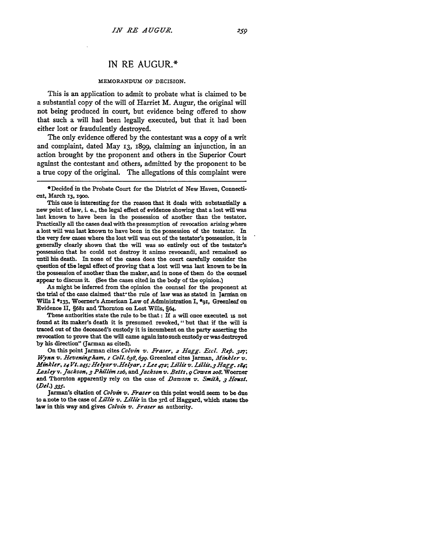## **IN** RE **AUGUR.\***

## **MEMORANDUM OF** DECISION.

This is an application to admit to probate what is claimed to be a substantial copy of the will of Harriet M. Augur, the original will not being produced in court, but evidence being offered to show that such a will had been legally executed, but that it had been either lost or fraudulently destroyed.

The only evidence offered **by** the contestant was a copy of a writ and complaint, dated May 13, 1899, claiming an injunction, in an action brought **by** the proponent and others in the Superior Court against the contestant and others, admitted **by** the proponent to be a true copy of the original. The allegations of this complaint were

\*Decided in the Probate Court for the District of New Haven, Connecticut, March **13, 1900.**

This case is interesting for the reason that it deals with substantially a new point of law, i. e., the legal effect of evidence showing that a lost will was last known to have been in the possession of another than the testator. Practically all the cases deal with the presumption of revocation arising where a lost will was last known to have been in the possession of the testator. In the very few cases where the lost will was out of the testator's possession, it is generally clearly shown that the will was so entirely out of the testator's possession that he could not destroy it **animo** revocandi, and remained so until his death. In none of the cases does the court carefully consider the question of the legal effect of proving that a lost will was last known to be in the possession of another than the maker, and in none of them do the counsel appear to discuss it. (See the cases cited in the body of the opinion.)

As might be inferred from the opinion the counsel for the proponent at the trial of the case claimed that\* the rule of law was **as** stated in larnian on Wills **I \*133,** Woerner's American Law of Administration I, \*91, Greenleaf on Evidence 11, §681 and Thornton on Lost Wills, §4

These authorities state the rule to be that: If a will once executed is not found at its maker's death it is presumed revoked, "but that if the will is traced out of the deceased's custody it is incumbent on the party asserting the revocation to prove that the will came again into such custody or was destroyed **by** his direction" (Jarman as cited).

On this point Jarman cites *Colvin v. Fraser, 2 Hagg. Eccl. Reh.* **327;** *Wynn v'. Jievening am, z Coll. 638, 639.* Greenleaf cites Jarman, *ffinkler v. Minkler, x4 Vt. 245; Helyar v.Helyar, x Lee 472; Lillie v. Lillie,3 Hagg. z84, Lorley v. Jackson, 3 Phillim z26, and Jackson V. Betts, 9 Cowen 2a.* Woerner and Thornton apparently rely on the case of *Dawson v. Smith*, *3 Houst*. *(Del.) .. 3.*

Jarman's citation of *Colvin v. Fraser* on this point would seem to be due to a note to the case of *Lillie v. Lillie* in the 3rd of Haggard, which states the law in this way and gives *Colvin v. Praser* as authority.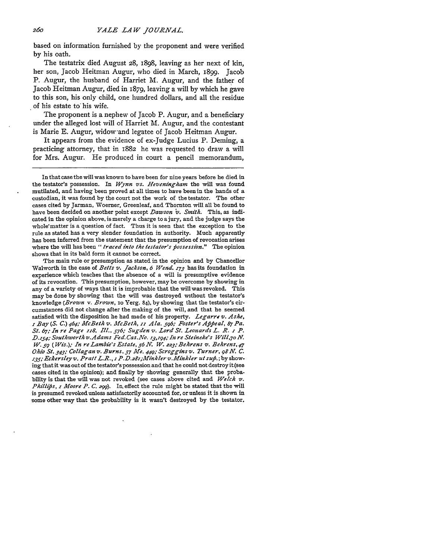based on information furnished **by** the proponent and were verified **by** his oath.

The testatrix died August **28,** 1898, leaving as her next of kin, her son, Jacob Heitman Augur, who died in March, *i899.* Jacob P. Augur, the husband of Harriet M. Augur, and the father of Jacob Heitman Augur, died in 1879, leaving a will **by** which he gave to this son, his only child, one hundred dollars, and all the residue of his estate **to** his wife.

The proponent is a nephew of Jacob P. Augur, and a beneficiary under the alleged lost will of Harriet M. Augur, and the contestant is Marie **E.** Augur, widow-and legatee of Jacob Heitman Augur.

It appears from the evidence of ex-Judge Lucius P. Deming, a practicing attorney, that in 1882 he was requested to draw a will for Mrs. Augur. He produced in court a pencil memorandum,

In that case the will was known to have been for nine years before he died in the testator's possession. In *Wynn vs. Heveningham* the will was found mutilated, and having been proved at all times to have been in the hands of a custodian, it was found **by** the court not the work of the testator. The other cases cited **by** Jarman, Woerner, Greenleaf, and Thornton will all be found to have been decided on another point except *Dawson 'v. Smith.* This, as indicated in the opinion above, is merely a charge to a jury, and the judge says the whole'matter is a question of fact. Thus it is seen that the exception to the rule as stated has a very slender foundation in authority. Much apparently has been inferred from the statement that the presumption of revocation arises where the will has been *"traced into the testator's fiossession."* The opinion shows that in its bald form it cannot be correct.

The main rule or presumption as stated in the opinion and **by** Chancellor Walworth in the case of *Betts v. Jackson, 6 Wend. z73* has its foundation in experience which teaches that the absence of a will is presumptive evidence of its revocation. This presumption, however, may be overcome **by** showing in any of a variety of ways that it is improbable that the will was revoked. This may be done **by** showing that the will was destroyed without the testator's knowledge *(Brown v. Brown,* io Yerg. 84), **by** showing that the testator's circumstances did not change after the making of the will, and that he seemed satisfied with the disposition he had made of his property. *Legarre v. Ashe, s Bay (S. C.) 464 ; McBeth v. McBeth, rr Ala. 596; Foster's Afjieal, 07 Pa. St. 67; In re Page 118, Ill., 576; Sugden v. Lord St. Leonards L. R. 1 P. D.zS4; Southworth v.Adams Fed. Cas.Nro. 3,594; In re Steineke's Will,7o N. W. 5 <sup>9</sup>(Wis.); In re Lambie's Estate, 56 N. W. a2; Behrens v. Behrens, <sup>47</sup> Ohio St. 343; Collagan v. Burns, 57 M fe. 449; Scroggins v. Turner, 98 N. C. s35;Eckersleyv. Pratt L.R., z P.D.28r;Minklerv.Minkler ut su5.;* **by** show**ing** that it was out of the testator's possession and that he could not destroy it (see cases cited in the opinion); and finally **by** -showing generally that the probability is that the will was not revoked (see cases above cited and *Welch v. Phillips, <i>z Moore P. C. 299*). In effect the rule might be stated that the will is presumed revokedunless satisfactorily accounted for, or unless it is shown in some other way that the probability is it wasn't destroyed **by** the testator.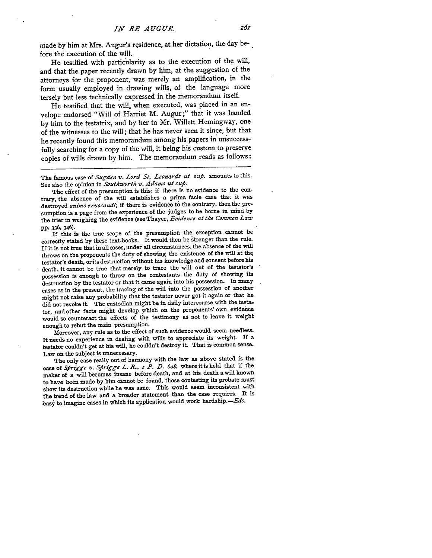made **by** him at Mrs. Augur's residence, at her dictation, the day before the execution of the will.

He testified with particularity as to the execution of the will, and that the paper recently drawn **by** him, at the suggestion of the attorneys **for** the proponent, was merely an amplification, in the form usually employed in drawing wills, of the language more tersely but less technically expressed in the memorandum itself.

He testified that the will, when executed, was placed in an envelope endorsed "Will of Harriet M. Augur;" that it was handed **by** him to the testatrix, and **by** her to Mr. Willett Hemingway, one of the witnesses to the will; that he has never seen it since, but that he recently found this memorandum among his papers in unsuccessfully searching for a copy of the will, it being his custom to preserve copies of wills drawn **by** him. The memorandum reads as follows:

The effect of the presumption is this: if there is no evidence to the contrary, the absence of the will establishes a prima facie case that it was destroyed *animo revocandi;* if there is evidence **to** the contrary, then the presumption is a page from the experience of the judges to be borne in mind by the trier in weighing the evidence (see Thayer, *Evidence at the Common Law* pp. **336,** 346).

If this is the true scope of the presumption the exception cannot be correctly stated **by** these text-books. It would then be stronger than the rule. If it is not true that in all cases, under all circumstances, the absence of the will throws on the proponents the duty of showing the existence of the **will** at the testator's death, or its destruction without his knowledge and consent before his death, it cannot be true that merely to trace the will out of the testator's possession is enough to throw on the contestants the duty of showing its destruction **by** the testator or that it came again into his possession. In many cases as in the present, the tracing of the will into the possession of another might not raise any probability that the testator never got it again or that he did not revoke it. The custodian might be in daily intercourse with the testator, and other facts might develop which on the proponents' own evidence would so counteract the effects of the testimony as not to leave it weight enough to rebut the main presumption.

Moreover, any rule as to the effect of such evidence would seem needless. It needs no experience in dealing with wills to appreciate its weight. If a testator couldn't get at his will, he couldn't destroy it. That is common sense. Law on the subject is unnecessary.

The only case really out of harmony with the law as above stated is the case of *Sprigge v. Sprigge L. R., 1 P. D. 608*, where it is held that if the maker of a will becomes insane before death, and at his death a will known to have been made **by** him cannot be found, those contesting its probate must show its destruction while he was sane. This would seem inconsistent with the trend of the law and a broader statement than the case requires. It is easy to imagine cases in which its application would work hardship.-Eds.

The famous case of *Sugden v. Lord St. Leonards ut suip.* amounts to this. See also the opinion in *Southworth v. Adams ut sup.*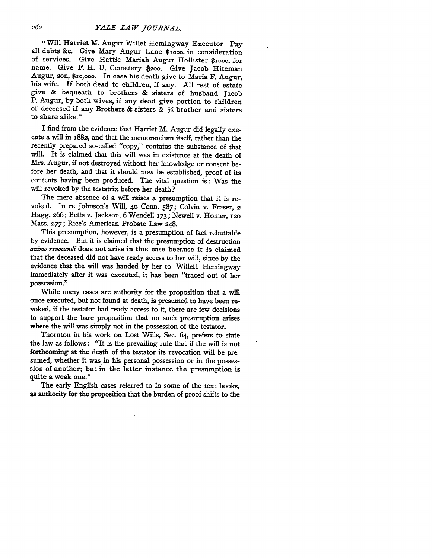## *YALE LA W JO URNAL.*

"Will Harriet M. Augur Willet Hemingway Executor Pay all debts **&c.** Give Mary Augur Lane \$iooo. in consideration of services. Give Hattie Mariah Augur Hollister \$Iooo. for name. Give F. H. U. Cemetery **\$200.** Give Jacob Hiteman Augur, son, \$io,ooo. In case his death give to Maria F. Augur, his wife. If both dead to children, if any. All rest of estate give **&** bequeath to brothers **&** sisters of husband Jacob P. Augur, by both wives, if any dead give portion to children of deceased if any Brothers **&** sisters **&** 3 brother and sisters to share alike."

I find from the evidence that Harriet M. Augur did legally execute a will in 1882, and that the memorandum itself, rather than the recently prepared so-called "copy," contains the substance of that will. It is claimed that this will was in existence at the death of Mrs. Augur, if not destroyed without her knowledge or consent before her death, and that it should now be established, proof of its contents having been produced. The vital question is: Was the will revoked by the testatrix before her death?

The mere absence of a will raises a presumption that it is revoked. In re Johnson's Will, **40** Conn. 587; Colvin v. Fraser, **<sup>2</sup>** Hagg. 266; Betts v. Jackson, 6 Wendell 173; Newell v. Homer, **120** Mass. **277;** Rice's American Probate Law 248.

This presumption, however, is a presumption of fact rebuttable by evidence. But it is claimed that the presumption of destruction *animo revocandi* does not arise in this case because it is claimed that the deceased did not have ready access to her will, since by the evidence that the will was handed by her to Willett Hemingway immediately after it was executed, it has been "traced out of her possession."

While many cases are authority for the proposition that a will once executed, but not found at death, is presumed to have been revoked, if the testator had ready access to it, there are few decisions to support the bare proposition that no such presumption arises where the will was simply not in the possession of the testator.

Thornton in his work on Lost Wills, Sec. 64, prefers to state the law as follows: "It is the prevailing rule that if the will is not forthcoming at the death of the testator its revocation will be presumed, whether it was in his personal possession or in the possession of another; but in the latter instance the presumption is quite a weak one."

The early English cases referred to in some of the text books, as authority for the proposition that the burden of proof shifts to the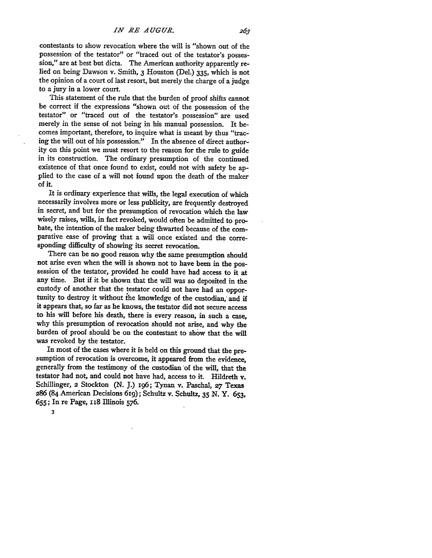contestants to show revocation where the will is "shown out of the possession of the testator" or "traced out of the testator's possession," are at best but dicta. The American authority apparently relied on being Dawson v. Smith, 3 Houston (Del.) 335, which is not the opinion of a court of last resort, but merely the charge of a judge to a jury in a lower court.

This statement of the rule that the burden of proof shifts cannot be correct if the expressions "shown out of the possession of the testator" or "traced out of the testator's possession" are used merely in the sense of not being in his manual possession. It becomes important, therefore, to inquire what is meant by thus "tracing the will out of his possession." In the absence of direct authority on this point we must resort to the reason for the rule to guide in its construction. The ordinary presumption of the continued existence of that once found to exist, could not with safety be applied to the case of a will not found upon the death of the maker of it.

It is ordinary experience that wills, the legal execution of which necessarily involves more or less publicity, are frequently destroyed in secret, and but for the presumption of revocation which the law wisely raises, wills, in fact revoked, would often be admitted to probate, the intention of the maker being thwarted because of the comparative ease of proving that a will once existed and the corresponding difficulty of showing its secret revocation.

There can be no good reason why the same presumption should not arise even when the will is shown not to have been in the possession of the testator, provided he could have had access to it at any time. But if it be shown that the will was so deposited in the custody of another that the testator could not have had an opportunity to destroy it without the knowledge of the custodian, and if it appears that, so far as he knows, the testator did not secure access to his will before his death, there is every reason, in such a case, why this presumption of revocation should not arise, and why the burden of proof should be on the contestant to show that the will was revoked **by** the testator.

In most of the cases where it is held on this ground that the presumption of revocation is overcome, it appeared from the evidence, generally from the testimony of the custodian of the will, that the testator had not, and could not have had, access to it. Hildreth v. Schillinger, **2** Stockton **(N. J.)** 196; Tynan v. Paschal, **27** Texas *286* (84 American Decisions 619); Schultz v. Schultz, **35 N.** Y. **653, 655;** In re Page, *i* i8 Illinois **576.**

 $\overline{3}$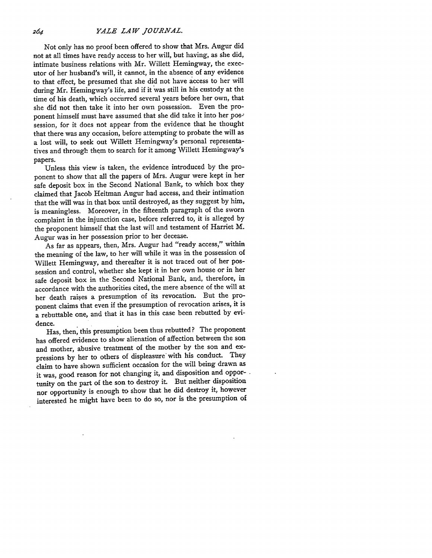Not only has no proof been offered to show that Mrs. Augur did not at all times have ready access to her will, but having, as she did, intimate business relations with Mr. Willett Hemingway, the executor of her husband's will, it cannot, in the absence of any evidence to that effect, be presumed that she did not have access to her will during Mr. Hemingway's life, and if it was still in his custody at the time of his death, which occurred several years before her own, that she did not then take it into her own possession. Even the proponent himself must have assumed that she did take it into her possession, for it does not appear from the evidence that he thought that there was any occasion, before attempting to probate the will as a lost will, to seek out Willett Hemingway's personal representatives and through them to search for it among Willett Hemingway's papers.

Unless this view is taken, the evidence introduced by the proponent to show that all the papers of Mrs. Augur were kept in her safe deposit box in the Second National Bank, to which box they claimed that Jacob Heitman Augur had access, and their intimation that the will was in that box until destroyed, as they suggest by him, is meaningless. Moreover, in the fifteenth paragraph of the sworn complaint in the injunction case, before referred to, it is alleged by the proponent himself that the last will and testament of Harriet M. Augur was in her possession prior to her decease.

As far as appears, then, Mrs. Augur had "ready access," within the meaning of the law, to her will while it was in the possession of Willett Hemingway, and thereafter it is not traced out of her possession and control, whether she kept it in her own house or in her safe deposit box in the Second National Bank, and, therefore, in accordance with the authorities cited, the mere absence of the will at her death raises a presumption of its revocation. But the proponent claims that even if the presumption of revocation arises, it is a rebuttable one, and that it has in this case been rebutted by evidence.

Has, then, this presumption been thus rebutted? The proponent has offered evidence to show alienation of affection between the son and mother, abusive treatment of the mother by the son and expressions by her to others of displeasure' with his conduct. They claim to have shown sufficient occasion for the will being drawn as it was, good reason for not changing it, and disposition and opportunity on the part of the son to destroy it. But neither disposition nor opportunity is enough to show that he did destroy it, however interested he might have been to do so, nor is the presumption of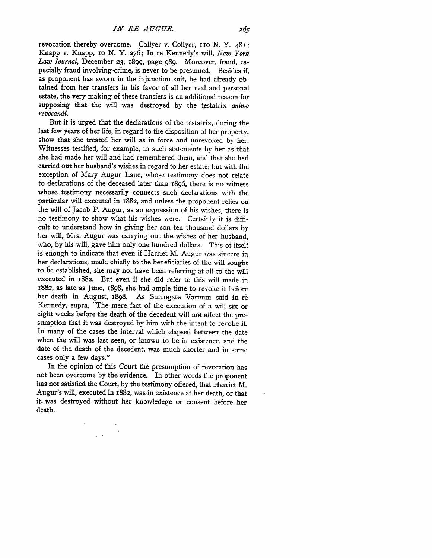revocation thereby overcome. Collyer v. Collyer, 110 N.Y. 481: Knapp v. Knapp, io N. Y. 276; In re Kennedy's will, *New York Law Journal,* December **23,** 1899, page 989. Moreover, fraud, especially fraud involving-crime, is never to be presumed. Besides if, as proponent has sworn in the injunction suit, he had already obtained from her transfers in his favor of all her real and personal estate, the very making of these transfers is an additional reason for supposing that the will was destroyed by the testatrix *animo revocandi.*

But it is urged that the declarations of the testatrix, during the last few years of her life, in regard to the disposition of her property, show that she treated her will as in force and unrevoked by her. Witnesses testified, for example, to such statements by her as that she had made her will and had remembered them, and that she had carried out her husband's wishes in regard to her estate; but With the exception of Mary Augur Lane, whose testimony does not relate to declarations of the deceased later than 1896, there is no witness whose testimony necessarily connects such declarations with the particular will executed in 1882, and unless the proponent relies on the will of Jacob P. Augur, as an expression of his wishes, there is no testimony to show what his Wishes were. Certainly it is difficult to understand how in giving her son ten thousand dollars by her will, Mrs. Augur was carrying out the wishes of her husband, who, by his will, gave him only one hundred dollars. This of itself is enough to indicate that even if Harriet M. Augur was sincere in her declarations, made chiefly to the beneficiaries of the will sought to be established, she may not have been referring at all to the will executed in 1882. But even if she did refer to this will made in 1882, as late as June, 1898, she had ample time to revoke it before her death in August, 1898. As Surrogate Varnum said In re Kennedy, supra, "The mere fact of the execution of a will six or eight weeks before the death of the decedent will not affect the presumption that it was destroyed by him with the intent to revoke it. In many of the cases the interval which elapsed between the date when the will was last seen, or known to be in existence, and the date of the death of the decedent, was much shorter and in some cases only a few days."

In the opinion of this Court the presumption of revocation has not been overcome by the evidence. In other words the proponent has not satisfied the Court, by the testimony offered, that Harriet M. Augur's will, executed in 1882, was in existence at her death, or that it. was destroyed without her knowledege or consent before her death.